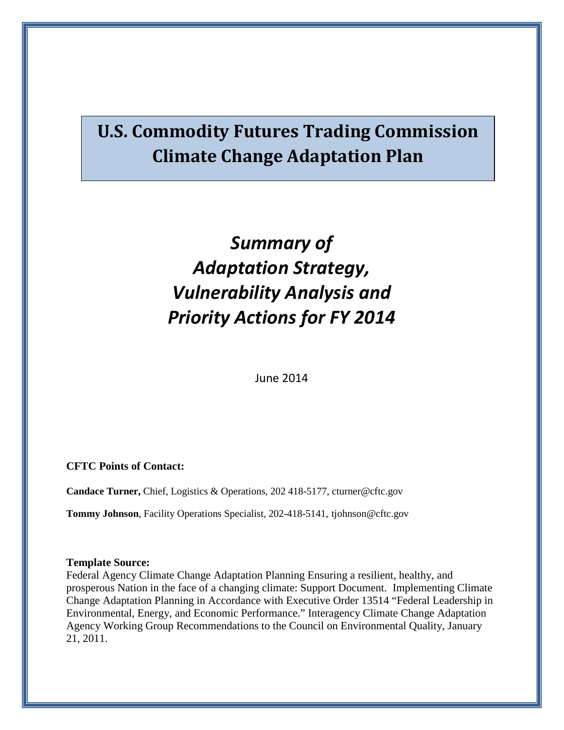# **U.S. Commodity Futures Trading Commission Climate Change Adaptation Plan**

# *Summary of Adaptation Strategy, Vulnerability Analysis and Priority Actions for FY 2014*

June 2014

**CFTC Points of Contact:**

**Candace Turner,** Chief, Logistics & Operations, 202 418-5177, cturner@cftc.gov

**Tommy Johnson**, Facility Operations Specialist, 202-418-5141, tjohnson@cftc.gov

#### **Template Source:**

Federal Agency Climate Change Adaptation Planning Ensuring a resilient, healthy, and prosperous Nation in the face of a changing climate: Support Document. Implementing Climate Change Adaptation Planning in Accordance with Executive Order 13514 "Federal Leadership in Environmental, Energy, and Economic Performance." Interagency Climate Change Adaptation Agency Working Group Recommendations to the Council on Environmental Quality, January 21, 2011.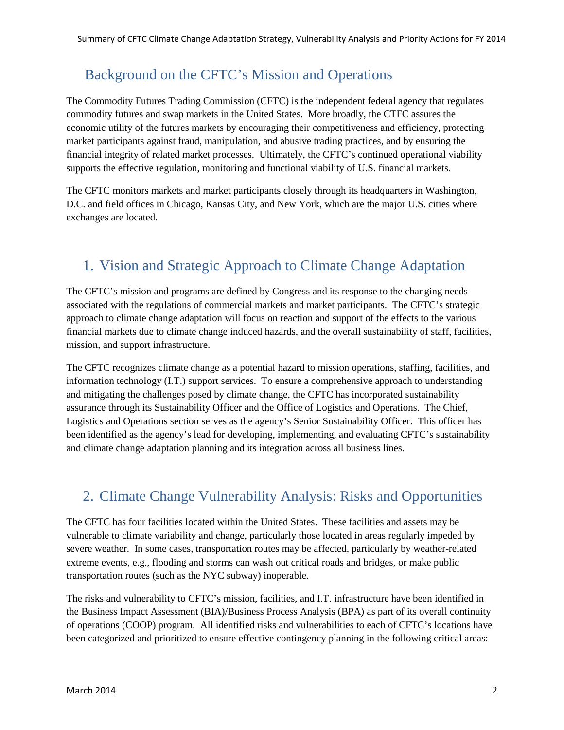## Background on the CFTC's Mission and Operations

The Commodity Futures Trading Commission (CFTC) is the independent federal agency that regulates commodity futures and swap markets in the United States. More broadly, the CTFC assures the economic utility of the futures markets by encouraging their competitiveness and efficiency, protecting market participants against fraud, manipulation, and abusive trading practices, and by ensuring the financial integrity of related market processes. Ultimately, the CFTC's continued operational viability supports the effective regulation, monitoring and functional viability of U.S. financial markets.

The CFTC monitors markets and market participants closely through its headquarters in Washington, D.C. and field offices in Chicago, Kansas City, and New York, which are the major U.S. cities where exchanges are located.

# 1. Vision and Strategic Approach to Climate Change Adaptation

The CFTC's mission and programs are defined by Congress and its response to the changing needs associated with the regulations of commercial markets and market participants. The CFTC's strategic approach to climate change adaptation will focus on reaction and support of the effects to the various financial markets due to climate change induced hazards, and the overall sustainability of staff, facilities, mission, and support infrastructure.

The CFTC recognizes climate change as a potential hazard to mission operations, staffing, facilities, and information technology (I.T.) support services. To ensure a comprehensive approach to understanding and mitigating the challenges posed by climate change, the CFTC has incorporated sustainability assurance through its Sustainability Officer and the Office of Logistics and Operations. The Chief, Logistics and Operations section serves as the agency's Senior Sustainability Officer. This officer has been identified as the agency's lead for developing, implementing, and evaluating CFTC's sustainability and climate change adaptation planning and its integration across all business lines.

### 2. Climate Change Vulnerability Analysis: Risks and Opportunities

The CFTC has four facilities located within the United States. These facilities and assets may be vulnerable to climate variability and change, particularly those located in areas regularly impeded by severe weather. In some cases, transportation routes may be affected, particularly by weather-related extreme events, e.g., flooding and storms can wash out critical roads and bridges, or make public transportation routes (such as the NYC subway) inoperable.

The risks and vulnerability to CFTC's mission, facilities, and I.T. infrastructure have been identified in the Business Impact Assessment (BIA)/Business Process Analysis (BPA) as part of its overall continuity of operations (COOP) program. All identified risks and vulnerabilities to each of CFTC's locations have been categorized and prioritized to ensure effective contingency planning in the following critical areas: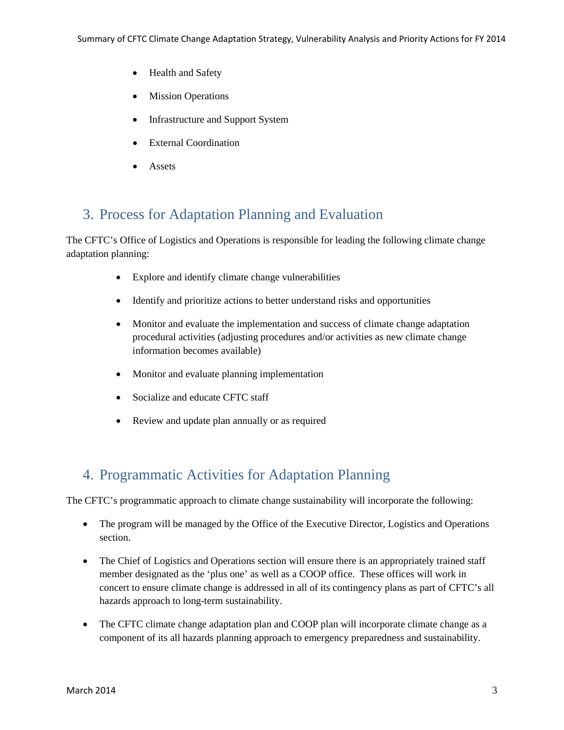- Health and Safety
- Mission Operations
- Infrastructure and Support System
- **External Coordination**
- **Assets**

## 3. Process for Adaptation Planning and Evaluation

The CFTC's Office of Logistics and Operations is responsible for leading the following climate change adaptation planning:

- Explore and identify climate change vulnerabilities
- Identify and prioritize actions to better understand risks and opportunities
- Monitor and evaluate the implementation and success of climate change adaptation procedural activities (adjusting procedures and/or activities as new climate change information becomes available)
- Monitor and evaluate planning implementation
- Socialize and educate CFTC staff
- Review and update plan annually or as required

### 4. Programmatic Activities for Adaptation Planning

The CFTC's programmatic approach to climate change sustainability will incorporate the following:

- The program will be managed by the Office of the Executive Director, Logistics and Operations section.
- The Chief of Logistics and Operations section will ensure there is an appropriately trained staff member designated as the 'plus one' as well as a COOP office. These offices will work in concert to ensure climate change is addressed in all of its contingency plans as part of CFTC's all hazards approach to long-term sustainability.
- The CFTC climate change adaptation plan and COOP plan will incorporate climate change as a component of its all hazards planning approach to emergency preparedness and sustainability.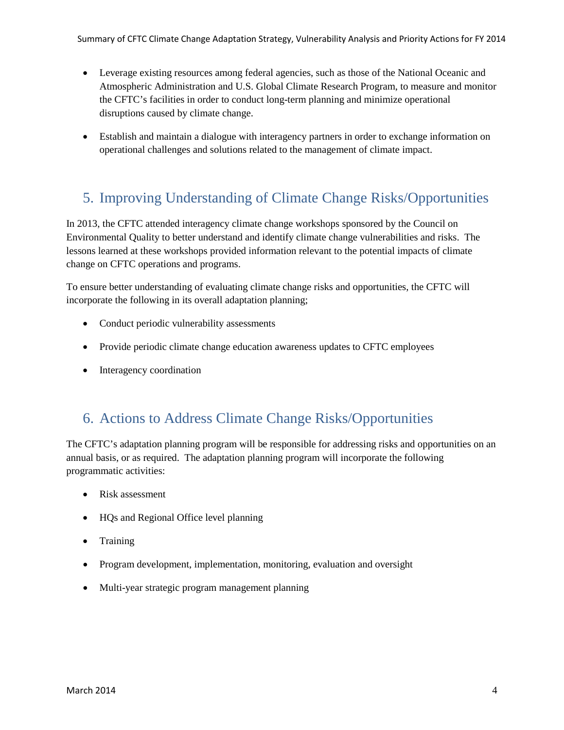- Leverage existing resources among federal agencies, such as those of the National Oceanic and Atmospheric Administration and U.S. Global Climate Research Program, to measure and monitor the CFTC's facilities in order to conduct long-term planning and minimize operational disruptions caused by climate change.
- Establish and maintain a dialogue with interagency partners in order to exchange information on operational challenges and solutions related to the management of climate impact.

### 5. Improving Understanding of Climate Change Risks/Opportunities

In 2013, the CFTC attended interagency climate change workshops sponsored by the Council on Environmental Quality to better understand and identify climate change vulnerabilities and risks. The lessons learned at these workshops provided information relevant to the potential impacts of climate change on CFTC operations and programs.

To ensure better understanding of evaluating climate change risks and opportunities, the CFTC will incorporate the following in its overall adaptation planning;

- Conduct periodic vulnerability assessments
- Provide periodic climate change education awareness updates to CFTC employees
- Interagency coordination

### 6. Actions to Address Climate Change Risks/Opportunities

The CFTC's adaptation planning program will be responsible for addressing risks and opportunities on an annual basis, or as required. The adaptation planning program will incorporate the following programmatic activities:

- Risk assessment
- HQs and Regional Office level planning
- Training
- Program development, implementation, monitoring, evaluation and oversight
- Multi-year strategic program management planning